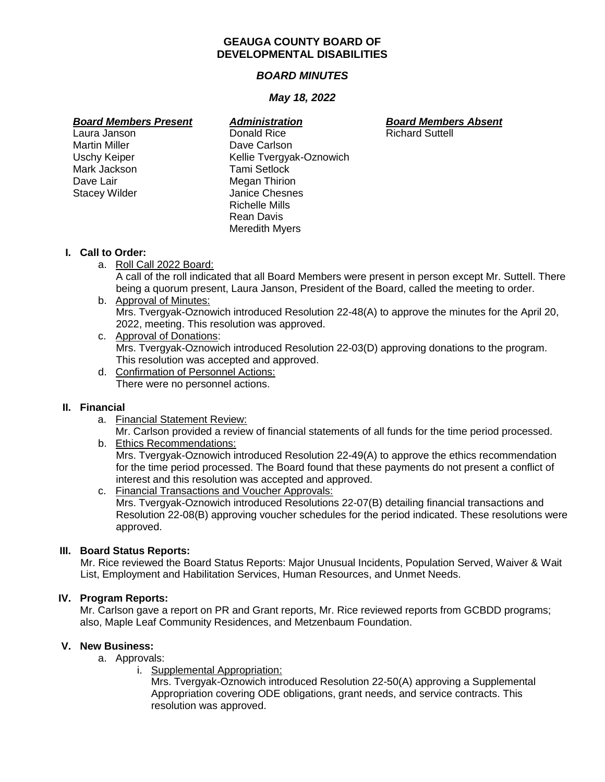#### **GEAUGA COUNTY BOARD OF DEVELOPMENTAL DISABILITIES**

## *BOARD MINUTES*

## *May 18, 2022*

- Martin Miller **Dave Carlson** Mark Jackson Tami Setlock Dave Lair **Megan Thirion**<br>
Stacey Wilder **Matter Stace Chesse**
- Laura Janson Donald Rice Richard Suttell Uschy Keiper Kellie Tvergyak-Oznowich Janice Chesnes Richelle Mills Rean Davis Meredith Myers

*Board Members Present Administration Board Members Absent*

#### **I. Call to Order:**

- a. Roll Call 2022 Board: A call of the roll indicated that all Board Members were present in person except Mr. Suttell. There being a quorum present, Laura Janson, President of the Board, called the meeting to order.
- b. Approval of Minutes: Mrs. Tvergyak-Oznowich introduced Resolution 22-48(A) to approve the minutes for the April 20, 2022, meeting. This resolution was approved.
- c. Approval of Donations: Mrs. Tvergyak-Oznowich introduced Resolution 22-03(D) approving donations to the program. This resolution was accepted and approved.
- d. Confirmation of Personnel Actions: There were no personnel actions.

## **II. Financial**

a. Financial Statement Review:

Mr. Carlson provided a review of financial statements of all funds for the time period processed.

#### b. Ethics Recommendations: Mrs. Tvergyak-Oznowich introduced Resolution 22-49(A) to approve the ethics recommendation for the time period processed. The Board found that these payments do not present a conflict of interest and this resolution was accepted and approved.

c. Financial Transactions and Voucher Approvals: Mrs. Tvergyak-Oznowich introduced Resolutions 22-07(B) detailing financial transactions and Resolution 22-08(B) approving voucher schedules for the period indicated. These resolutions were approved.

## **III. Board Status Reports:**

Mr. Rice reviewed the Board Status Reports: Major Unusual Incidents, Population Served, Waiver & Wait List, Employment and Habilitation Services, Human Resources, and Unmet Needs.

## **IV. Program Reports:**

Mr. Carlson gave a report on PR and Grant reports, Mr. Rice reviewed reports from GCBDD programs; also, Maple Leaf Community Residences, and Metzenbaum Foundation.

## **V. New Business:**

- a. Approvals:
	- i. Supplemental Appropriation:

Mrs. Tvergyak-Oznowich introduced Resolution 22-50(A) approving a Supplemental Appropriation covering ODE obligations, grant needs, and service contracts. This resolution was approved.